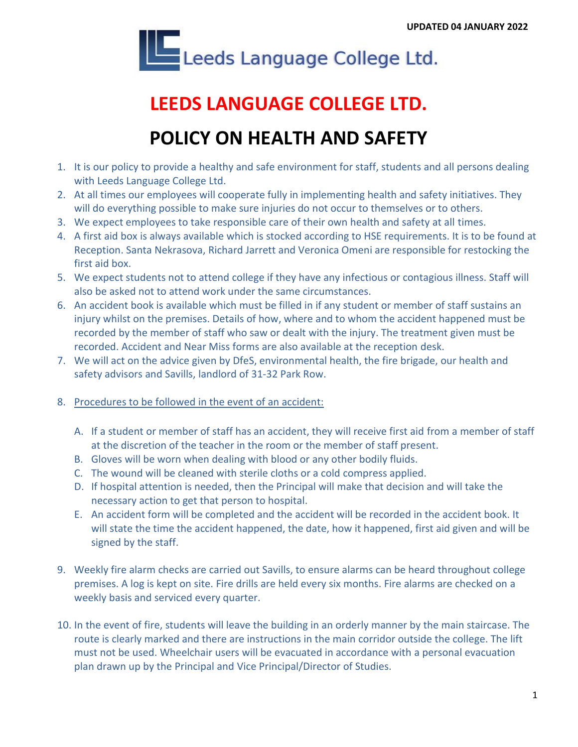

## **LEEDS LANGUAGE COLLEGE LTD.**

## **POLICY ON HEALTH AND SAFETY**

- 1. It is our policy to provide a healthy and safe environment for staff, students and all persons dealing with Leeds Language College Ltd.
- 2. At all times our employees will cooperate fully in implementing health and safety initiatives. They will do everything possible to make sure injuries do not occur to themselves or to others.
- 3. We expect employees to take responsible care of their own health and safety at all times.
- 4. A first aid box is always available which is stocked according to HSE requirements. It is to be found at Reception. Santa Nekrasova, Richard Jarrett and Veronica Omeni are responsible for restocking the first aid box.
- 5. We expect students not to attend college if they have any infectious or contagious illness. Staff will also be asked not to attend work under the same circumstances.
- 6. An accident book is available which must be filled in if any student or member of staff sustains an injury whilst on the premises. Details of how, where and to whom the accident happened must be recorded by the member of staff who saw or dealt with the injury. The treatment given must be recorded. Accident and Near Miss forms are also available at the reception desk.
- 7. We will act on the advice given by DfeS, environmental health, the fire brigade, our health and safety advisors and Savills, landlord of 31-32 Park Row.
- 8. Procedures to be followed in the event of an accident:
	- A. If a student or member of staff has an accident, they will receive first aid from a member of staff at the discretion of the teacher in the room or the member of staff present.
	- B. Gloves will be worn when dealing with blood or any other bodily fluids.
	- C. The wound will be cleaned with sterile cloths or a cold compress applied.
	- D. If hospital attention is needed, then the Principal will make that decision and will take the necessary action to get that person to hospital.
	- E. An accident form will be completed and the accident will be recorded in the accident book. It will state the time the accident happened, the date, how it happened, first aid given and will be signed by the staff.
- 9. Weekly fire alarm checks are carried out Savills, to ensure alarms can be heard throughout college premises. A log is kept on site. Fire drills are held every six months. Fire alarms are checked on a weekly basis and serviced every quarter.
- 10. In the event of fire, students will leave the building in an orderly manner by the main staircase. The route is clearly marked and there are instructions in the main corridor outside the college. The lift must not be used. Wheelchair users will be evacuated in accordance with a personal evacuation plan drawn up by the Principal and Vice Principal/Director of Studies.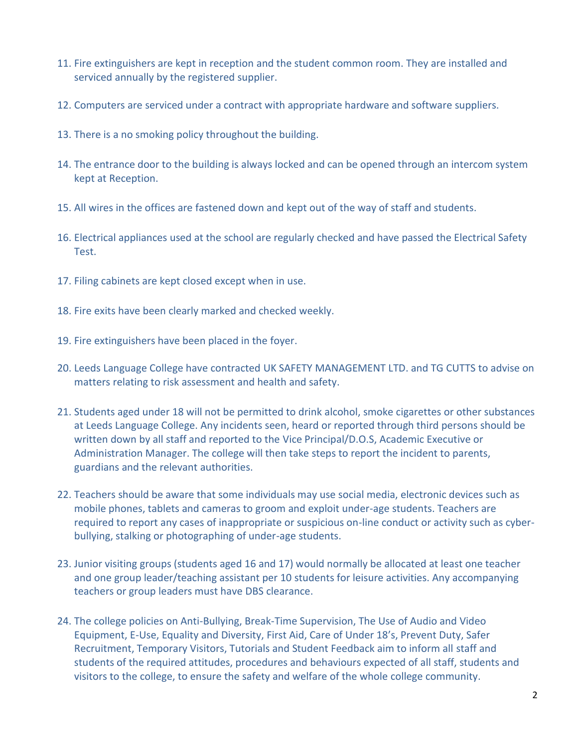- 11. Fire extinguishers are kept in reception and the student common room. They are installed and serviced annually by the registered supplier.
- 12. Computers are serviced under a contract with appropriate hardware and software suppliers.
- 13. There is a no smoking policy throughout the building.
- 14. The entrance door to the building is always locked and can be opened through an intercom system kept at Reception.
- 15. All wires in the offices are fastened down and kept out of the way of staff and students.
- 16. Electrical appliances used at the school are regularly checked and have passed the Electrical Safety Test.
- 17. Filing cabinets are kept closed except when in use.
- 18. Fire exits have been clearly marked and checked weekly.
- 19. Fire extinguishers have been placed in the foyer.
- 20. Leeds Language College have contracted UK SAFETY MANAGEMENT LTD. and TG CUTTS to advise on matters relating to risk assessment and health and safety.
- 21. Students aged under 18 will not be permitted to drink alcohol, smoke cigarettes or other substances at Leeds Language College. Any incidents seen, heard or reported through third persons should be written down by all staff and reported to the Vice Principal/D.O.S, Academic Executive or Administration Manager. The college will then take steps to report the incident to parents, guardians and the relevant authorities.
- 22. Teachers should be aware that some individuals may use social media, electronic devices such as mobile phones, tablets and cameras to groom and exploit under-age students. Teachers are required to report any cases of inappropriate or suspicious on-line conduct or activity such as cyberbullying, stalking or photographing of under-age students.
- 23. Junior visiting groups (students aged 16 and 17) would normally be allocated at least one teacher and one group leader/teaching assistant per 10 students for leisure activities. Any accompanying teachers or group leaders must have DBS clearance.
- 24. The college policies on Anti-Bullying, Break-Time Supervision, The Use of Audio and Video Equipment, E-Use, Equality and Diversity, First Aid, Care of Under 18's, Prevent Duty, Safer Recruitment, Temporary Visitors, Tutorials and Student Feedback aim to inform all staff and students of the required attitudes, procedures and behaviours expected of all staff, students and visitors to the college, to ensure the safety and welfare of the whole college community.